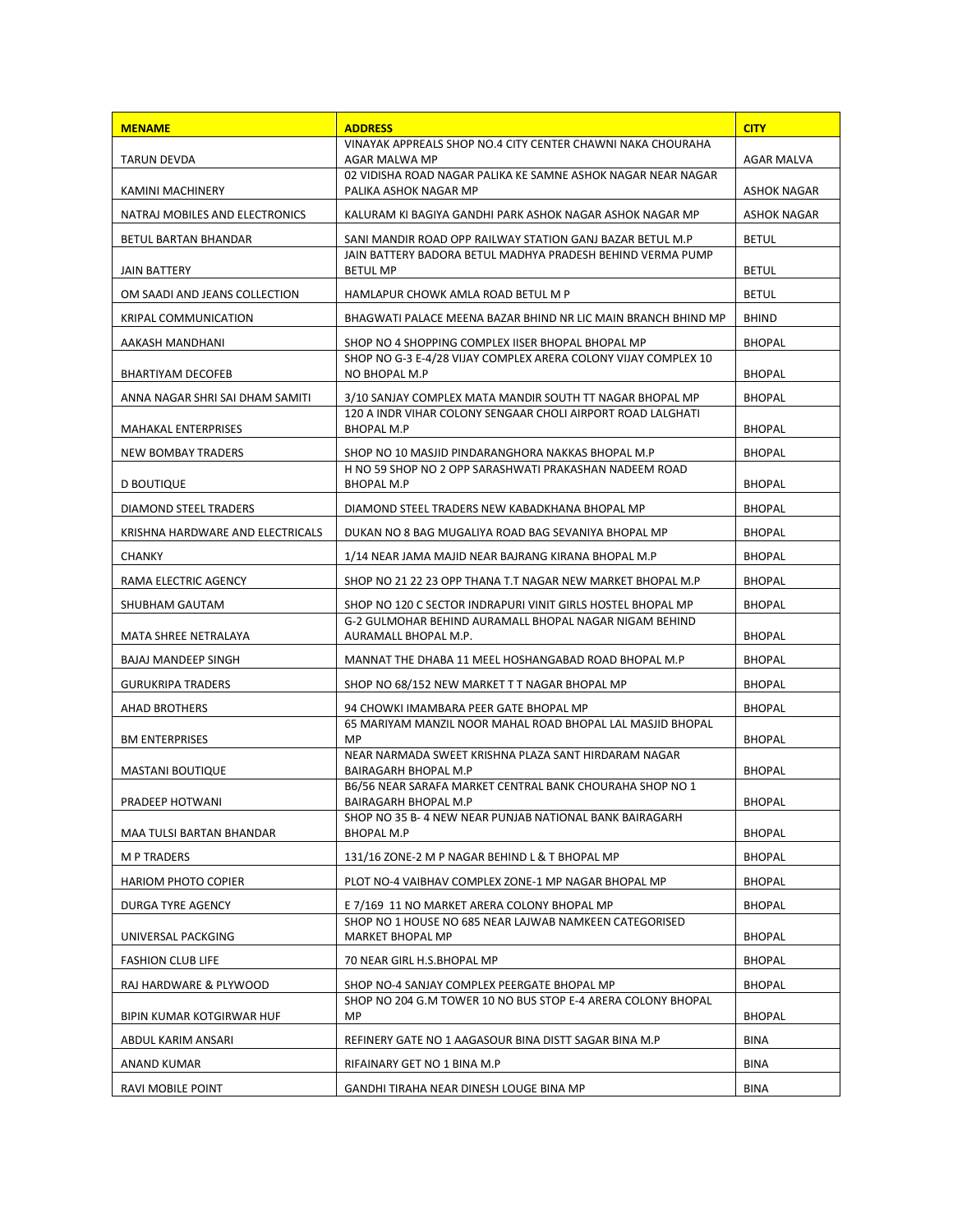| <b>MENAME</b>                    | <b>ADDRESS</b>                                                                        | <b>CITY</b>        |
|----------------------------------|---------------------------------------------------------------------------------------|--------------------|
| <b>TARUN DEVDA</b>               | VINAYAK APPREALS SHOP NO.4 CITY CENTER CHAWNI NAKA CHOURAHA<br>AGAR MALWA MP          | AGAR MALVA         |
| KAMINI MACHINERY                 | 02 VIDISHA ROAD NAGAR PALIKA KE SAMNE ASHOK NAGAR NEAR NAGAR<br>PALIKA ASHOK NAGAR MP | <b>ASHOK NAGAR</b> |
| NATRAJ MOBILES AND ELECTRONICS   | KALURAM KI BAGIYA GANDHI PARK ASHOK NAGAR ASHOK NAGAR MP                              | <b>ASHOK NAGAR</b> |
| BETUL BARTAN BHANDAR             | SANI MANDIR ROAD OPP RAILWAY STATION GANJ BAZAR BETUL M.P                             | <b>BETUL</b>       |
| JAIN BATTERY                     | JAIN BATTERY BADORA BETUL MADHYA PRADESH BEHIND VERMA PUMP<br><b>BETUL MP</b>         | <b>BETUL</b>       |
| OM SAADI AND JEANS COLLECTION    | HAMLAPUR CHOWK AMLA ROAD BETUL M P                                                    | <b>BETUL</b>       |
| <b>KRIPAL COMMUNICATION</b>      | BHAGWATI PALACE MEENA BAZAR BHIND NR LIC MAIN BRANCH BHIND MP                         | <b>BHIND</b>       |
| AAKASH MANDHANI                  | SHOP NO 4 SHOPPING COMPLEX IISER BHOPAL BHOPAL MP                                     | <b>BHOPAL</b>      |
| BHARTIYAM DECOFEB                | SHOP NO G-3 E-4/28 VIJAY COMPLEX ARERA COLONY VIJAY COMPLEX 10<br>NO BHOPAL M.P       | <b>BHOPAL</b>      |
| ANNA NAGAR SHRI SAI DHAM SAMITI  | 3/10 SANJAY COMPLEX MATA MANDIR SOUTH TT NAGAR BHOPAL MP                              | <b>BHOPAL</b>      |
| <b>MAHAKAL ENTERPRISES</b>       | 120 A INDR VIHAR COLONY SENGAAR CHOLI AIRPORT ROAD LALGHATI<br>BHOPAL M.P             | <b>BHOPAL</b>      |
| NEW BOMBAY TRADERS               | SHOP NO 10 MASJID PINDARANGHORA NAKKAS BHOPAL M.P                                     | <b>BHOPAL</b>      |
| D BOUTIQUE                       | H NO 59 SHOP NO 2 OPP SARASHWATI PRAKASHAN NADEEM ROAD<br>BHOPAL M.P                  | <b>BHOPAL</b>      |
| DIAMOND STEEL TRADERS            | DIAMOND STEEL TRADERS NEW KABADKHANA BHOPAL MP                                        | <b>BHOPAL</b>      |
| KRISHNA HARDWARE AND ELECTRICALS | DUKAN NO 8 BAG MUGALIYA ROAD BAG SEVANIYA BHOPAL MP                                   | <b>BHOPAL</b>      |
| CHANKY                           | 1/14 NEAR JAMA MAJID NEAR BAJRANG KIRANA BHOPAL M.P                                   | <b>BHOPAL</b>      |
| RAMA ELECTRIC AGENCY             | SHOP NO 21 22 23 OPP THANA T.T NAGAR NEW MARKET BHOPAL M.P                            | <b>BHOPAL</b>      |
| SHUBHAM GAUTAM                   | SHOP NO 120 C SECTOR INDRAPURI VINIT GIRLS HOSTEL BHOPAL MP                           | <b>BHOPAL</b>      |
| MATA SHREE NETRALAYA             | G-2 GULMOHAR BEHIND AURAMALL BHOPAL NAGAR NIGAM BEHIND<br>AURAMALL BHOPAL M.P.        | <b>BHOPAL</b>      |
| BAJAJ MANDEEP SINGH              | MANNAT THE DHABA 11 MEEL HOSHANGABAD ROAD BHOPAL M.P                                  | <b>BHOPAL</b>      |
| <b>GURUKRIPA TRADERS</b>         | SHOP NO 68/152 NEW MARKET T T NAGAR BHOPAL MP                                         | <b>BHOPAL</b>      |
| AHAD BROTHERS                    | 94 CHOWKI IMAMBARA PEER GATE BHOPAL MP                                                | <b>BHOPAL</b>      |
| <b>BM ENTERPRISES</b>            | 65 MARIYAM MANZIL NOOR MAHAL ROAD BHOPAL LAL MASJID BHOPAL<br><b>MP</b>               | <b>BHOPAL</b>      |
| <b>MASTANI BOUTIQUE</b>          | NEAR NARMADA SWEET KRISHNA PLAZA SANT HIRDARAM NAGAR<br>BAIRAGARH BHOPAL M.P          | <b>BHOPAL</b>      |
| PRADEEP HOTWANI                  | B6/56 NEAR SARAFA MARKET CENTRAL BANK CHOURAHA SHOP NO 1<br>BAIRAGARH BHOPAL M.P      | <b>BHOPAL</b>      |
| MAA TULSI BARTAN BHANDAR         | SHOP NO 35 B-4 NEW NEAR PUNJAB NATIONAL BANK BAIRAGARH<br><b>BHOPAL M.P</b>           | <b>BHOPAL</b>      |
| <b>M P TRADERS</b>               | 131/16 ZONE-2 M P NAGAR BEHIND L & T BHOPAL MP                                        | <b>BHOPAL</b>      |
| <b>HARIOM PHOTO COPIER</b>       | PLOT NO-4 VAIBHAV COMPLEX ZONE-1 MP NAGAR BHOPAL MP                                   | <b>BHOPAL</b>      |
| DURGA TYRE AGENCY                | E 7/169 11 NO MARKET ARERA COLONY BHOPAL MP                                           | <b>BHOPAL</b>      |
| UNIVERSAL PACKGING               | SHOP NO 1 HOUSE NO 685 NEAR LAJWAB NAMKEEN CATEGORISED<br>MARKET BHOPAL MP            | <b>BHOPAL</b>      |
| <b>FASHION CLUB LIFE</b>         | 70 NEAR GIRL H.S.BHOPAL MP                                                            | <b>BHOPAL</b>      |
| RAJ HARDWARE & PLYWOOD           | SHOP NO-4 SANJAY COMPLEX PEERGATE BHOPAL MP                                           | <b>BHOPAL</b>      |
| BIPIN KUMAR KOTGIRWAR HUF        | SHOP NO 204 G.M TOWER 10 NO BUS STOP E-4 ARERA COLONY BHOPAL<br>MP                    | <b>BHOPAL</b>      |
| ABDUL KARIM ANSARI               | REFINERY GATE NO 1 AAGASOUR BINA DISTT SAGAR BINA M.P                                 | <b>BINA</b>        |
| ANAND KUMAR                      | RIFAINARY GET NO 1 BINA M.P                                                           | <b>BINA</b>        |
| RAVI MOBILE POINT                | GANDHI TIRAHA NEAR DINESH LOUGE BINA MP                                               | <b>BINA</b>        |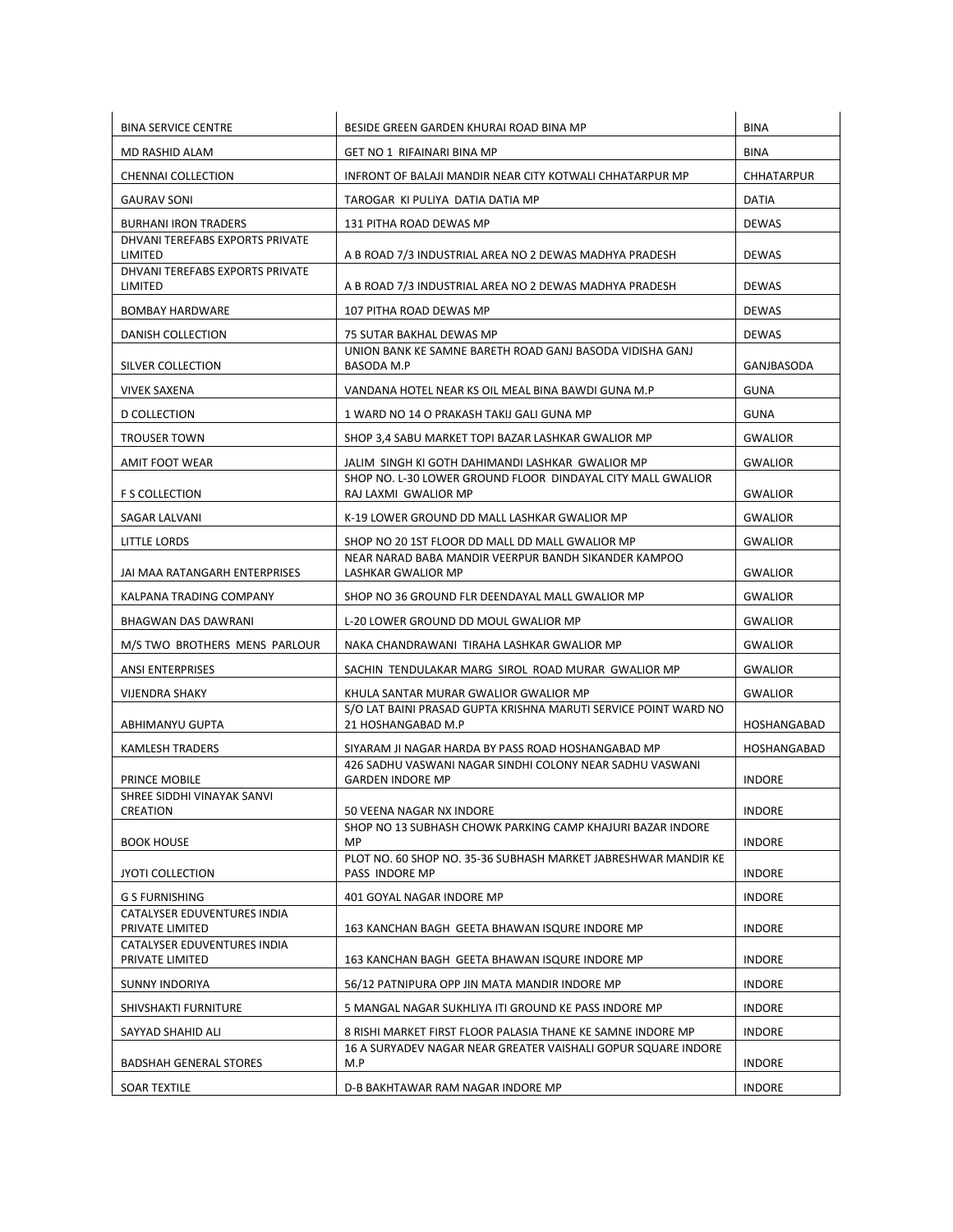| <b>BINA SERVICE CENTRE</b>                     | BESIDE GREEN GARDEN KHURAI ROAD BINA MP                                                      | <b>BINA</b>                    |
|------------------------------------------------|----------------------------------------------------------------------------------------------|--------------------------------|
| MD RASHID ALAM                                 | GET NO 1 RIFAINARI BINA MP                                                                   | <b>BINA</b>                    |
| <b>CHENNAI COLLECTION</b>                      | INFRONT OF BALAJI MANDIR NEAR CITY KOTWALI CHHATARPUR MP                                     | CHHATARPUR                     |
| <b>GAURAV SONI</b>                             | TAROGAR KI PULIYA DATIA DATIA MP                                                             | DATIA                          |
| <b>BURHANI IRON TRADERS</b>                    | 131 PITHA ROAD DEWAS MP                                                                      | <b>DEWAS</b>                   |
| DHVANI TEREFABS EXPORTS PRIVATE<br>LIMITED     | A B ROAD 7/3 INDUSTRIAL AREA NO 2 DEWAS MADHYA PRADESH                                       | <b>DEWAS</b>                   |
| DHVANI TEREFABS EXPORTS PRIVATE<br>LIMITED     | A B ROAD 7/3 INDUSTRIAL AREA NO 2 DEWAS MADHYA PRADESH                                       | <b>DEWAS</b>                   |
| <b>BOMBAY HARDWARE</b>                         | 107 PITHA ROAD DEWAS MP                                                                      | <b>DEWAS</b>                   |
| DANISH COLLECTION                              | 75 SUTAR BAKHAL DEWAS MP                                                                     | <b>DEWAS</b>                   |
| SILVER COLLECTION                              | UNION BANK KE SAMNE BARETH ROAD GANJ BASODA VIDISHA GANJ<br>BASODA M.P                       | GANJBASODA                     |
| <b>VIVEK SAXENA</b>                            | VANDANA HOTEL NEAR KS OIL MEAL BINA BAWDI GUNA M.P                                           | <b>GUNA</b>                    |
| <b>D COLLECTION</b>                            | 1 WARD NO 14 O PRAKASH TAKIJ GALI GUNA MP                                                    | <b>GUNA</b>                    |
| <b>TROUSER TOWN</b>                            | SHOP 3,4 SABU MARKET TOPI BAZAR LASHKAR GWALIOR MP                                           | <b>GWALIOR</b>                 |
| AMIT FOOT WEAR                                 | JALIM SINGH KI GOTH DAHIMANDI LASHKAR GWALIOR MP                                             | <b>GWALIOR</b>                 |
| <b>F S COLLECTION</b>                          | SHOP NO. L-30 LOWER GROUND FLOOR DINDAYAL CITY MALL GWALIOR<br>RAJ LAXMI GWALIOR MP          | <b>GWALIOR</b>                 |
| SAGAR LALVANI                                  | K-19 LOWER GROUND DD MALL LASHKAR GWALIOR MP                                                 | <b>GWALIOR</b>                 |
| LITTLE LORDS                                   | SHOP NO 20 1ST FLOOR DD MALL DD MALL GWALIOR MP                                              | <b>GWALIOR</b>                 |
| JAI MAA RATANGARH ENTERPRISES                  | NEAR NARAD BABA MANDIR VEERPUR BANDH SIKANDER KAMPOO<br>LASHKAR GWALIOR MP                   | <b>GWALIOR</b>                 |
| KALPANA TRADING COMPANY                        | SHOP NO 36 GROUND FLR DEENDAYAL MALL GWALIOR MP                                              | <b>GWALIOR</b>                 |
| BHAGWAN DAS DAWRANI                            | L-20 LOWER GROUND DD MOUL GWALIOR MP                                                         | <b>GWALIOR</b>                 |
| M/S TWO BROTHERS MENS PARLOUR                  | NAKA CHANDRAWANI TIRAHA LASHKAR GWALIOR MP                                                   | <b>GWALIOR</b>                 |
| <b>ANSI ENTERPRISES</b>                        | SACHIN TENDULAKAR MARG SIROL ROAD MURAR GWALIOR MP                                           | <b>GWALIOR</b>                 |
| <b>VIJENDRA SHAKY</b>                          | KHULA SANTAR MURAR GWALIOR GWALIOR MP                                                        | <b>GWALIOR</b>                 |
| ABHIMANYU GUPTA                                | S/O LAT BAINI PRASAD GUPTA KRISHNA MARUTI SERVICE POINT WARD NO<br>21 HOSHANGABAD M.P        | HOSHANGABAD                    |
| <b>KAMLESH TRADERS</b>                         | SIYARAM JI NAGAR HARDA BY PASS ROAD HOSHANGABAD MP                                           | HOSHANGABAD                    |
| PRINCE MOBILE                                  | 426 SADHU VASWANI NAGAR SINDHI COLONY NEAR SADHU VASWANI<br><b>GARDEN INDORE MP</b>          | <b>INDORE</b>                  |
| SHREE SIDDHI VINAYAK SANVI                     |                                                                                              |                                |
| CREATION<br><b>BOOK HOUSE</b>                  | 50 VEENA NAGAR NX INDORE<br>SHOP NO 13 SUBHASH CHOWK PARKING CAMP KHAJURI BAZAR INDORE<br>MP | <b>INDORE</b><br><b>INDORE</b> |
| <b>JYOTI COLLECTION</b>                        | PLOT NO. 60 SHOP NO. 35-36 SUBHASH MARKET JABRESHWAR MANDIR KE<br>PASS INDORE MP             | <b>INDORE</b>                  |
| <b>G S FURNISHING</b>                          | 401 GOYAL NAGAR INDORE MP                                                                    | <b>INDORE</b>                  |
| CATALYSER EDUVENTURES INDIA<br>PRIVATE LIMITED | 163 KANCHAN BAGH GEETA BHAWAN ISQURE INDORE MP                                               | <b>INDORE</b>                  |
| CATALYSER EDUVENTURES INDIA<br>PRIVATE LIMITED | 163 KANCHAN BAGH GEETA BHAWAN ISQURE INDORE MP                                               | <b>INDORE</b>                  |
| <b>SUNNY INDORIYA</b>                          | 56/12 PATNIPURA OPP JIN MATA MANDIR INDORE MP                                                | <b>INDORE</b>                  |
| SHIVSHAKTI FURNITURE                           | 5 MANGAL NAGAR SUKHLIYA ITI GROUND KE PASS INDORE MP                                         | <b>INDORE</b>                  |
| SAYYAD SHAHID ALI                              | 8 RISHI MARKET FIRST FLOOR PALASIA THANE KE SAMNE INDORE MP                                  | <b>INDORE</b>                  |
| <b>BADSHAH GENERAL STORES</b>                  | 16 A SURYADEV NAGAR NEAR GREATER VAISHALI GOPUR SQUARE INDORE<br>M.P                         | <b>INDORE</b>                  |
| SOAR TEXTILE                                   | D-B BAKHTAWAR RAM NAGAR INDORE MP                                                            | <b>INDORE</b>                  |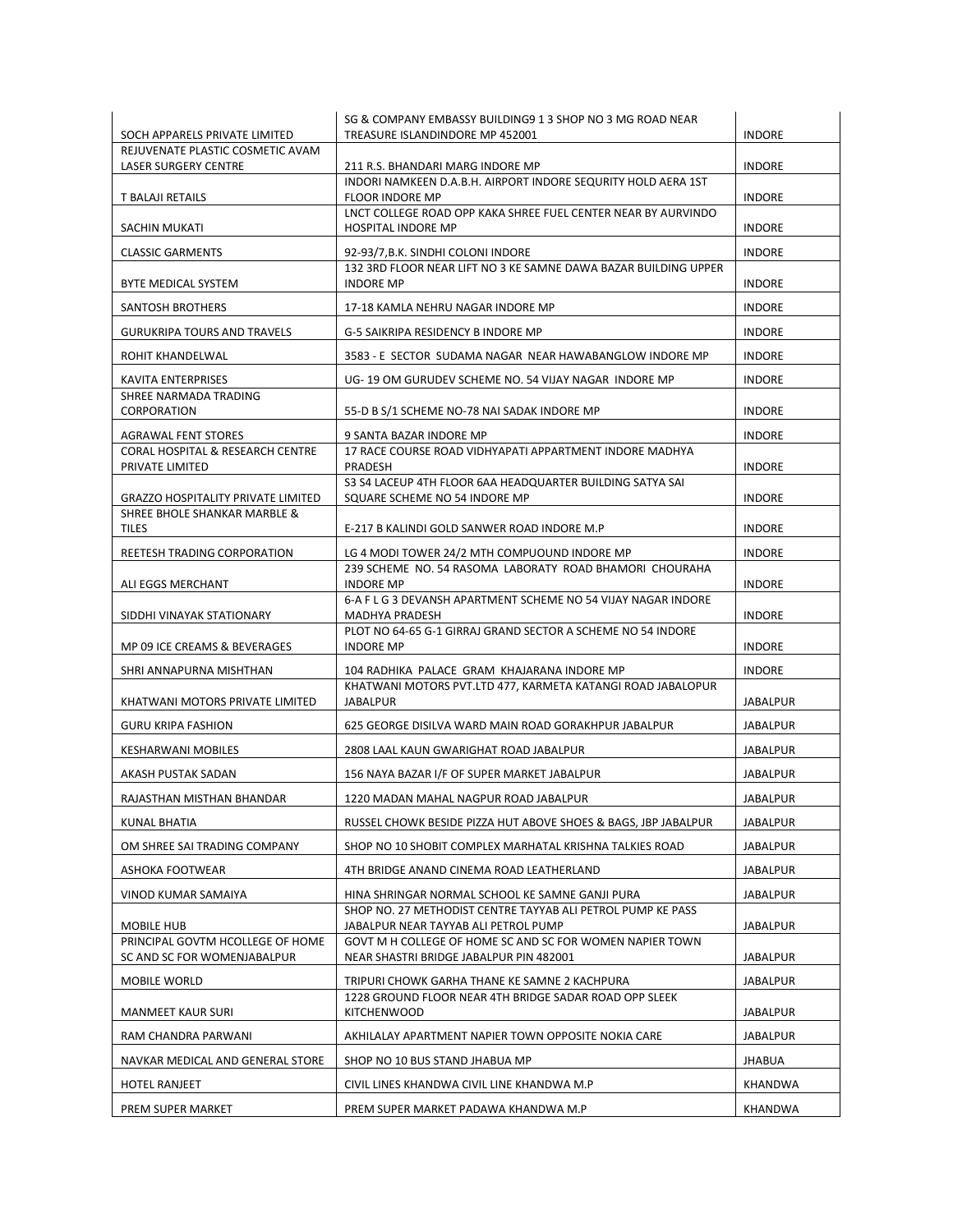| SOCH APPARELS PRIVATE LIMITED                                             | SG & COMPANY EMBASSY BUILDING9 1 3 SHOP NO 3 MG ROAD NEAR<br>TREASURE ISLANDINDORE MP 452001        | <b>INDORE</b>   |
|---------------------------------------------------------------------------|-----------------------------------------------------------------------------------------------------|-----------------|
| REJUVENATE PLASTIC COSMETIC AVAM                                          |                                                                                                     |                 |
| LASER SURGERY CENTRE                                                      | 211 R.S. BHANDARI MARG INDORE MP<br>INDORI NAMKEEN D.A.B.H. AIRPORT INDORE SEQURITY HOLD AERA 1ST   | <b>INDORE</b>   |
| T BALAJI RETAILS                                                          | <b>FLOOR INDORE MP</b>                                                                              | <b>INDORE</b>   |
| SACHIN MUKATI                                                             | LNCT COLLEGE ROAD OPP KAKA SHREE FUEL CENTER NEAR BY AURVINDO<br><b>HOSPITAL INDORE MP</b>          | <b>INDORE</b>   |
| <b>CLASSIC GARMENTS</b>                                                   | 92-93/7, B.K. SINDHI COLONI INDORE                                                                  | <b>INDORE</b>   |
| BYTE MEDICAL SYSTEM                                                       | 132 3RD FLOOR NEAR LIFT NO 3 KE SAMNE DAWA BAZAR BUILDING UPPER<br><b>INDORE MP</b>                 | <b>INDORE</b>   |
| SANTOSH BROTHERS                                                          | 17-18 KAMLA NEHRU NAGAR INDORE MP                                                                   | <b>INDORE</b>   |
| <b>GURUKRIPA TOURS AND TRAVELS</b>                                        | G-5 SAIKRIPA RESIDENCY B INDORE MP                                                                  | <b>INDORE</b>   |
| ROHIT KHANDELWAL                                                          | 3583 - E SECTOR SUDAMA NAGAR NEAR HAWABANGLOW INDORE MP                                             | <b>INDORE</b>   |
| <b>KAVITA ENTERPRISES</b>                                                 | UG-19 OM GURUDEV SCHEME NO. 54 VIJAY NAGAR INDORE MP                                                | <b>INDORE</b>   |
| SHREE NARMADA TRADING<br>CORPORATION                                      | 55-D B S/1 SCHEME NO-78 NAI SADAK INDORE MP                                                         | <b>INDORE</b>   |
| <b>AGRAWAL FENT STORES</b>                                                | 9 SANTA BAZAR INDORE MP                                                                             | <b>INDORE</b>   |
| CORAL HOSPITAL & RESEARCH CENTRE<br>PRIVATE LIMITED                       | 17 RACE COURSE ROAD VIDHYAPATI APPARTMENT INDORE MADHYA<br>PRADESH                                  | <b>INDORE</b>   |
|                                                                           | S3 S4 LACEUP 4TH FLOOR 6AA HEADQUARTER BUILDING SATYA SAI                                           |                 |
| <b>GRAZZO HOSPITALITY PRIVATE LIMITED</b><br>SHREE BHOLE SHANKAR MARBLE & | SQUARE SCHEME NO 54 INDORE MP                                                                       | <b>INDORE</b>   |
| <b>TILES</b>                                                              | E-217 B KALINDI GOLD SANWER ROAD INDORE M.P                                                         | <b>INDORE</b>   |
| REETESH TRADING CORPORATION                                               | LG 4 MODI TOWER 24/2 MTH COMPUOUND INDORE MP                                                        | <b>INDORE</b>   |
| ALI EGGS MERCHANT                                                         | 239 SCHEME NO. 54 RASOMA LABORATY ROAD BHAMORI CHOURAHA<br><b>INDORE MP</b>                         | <b>INDORE</b>   |
| SIDDHI VINAYAK STATIONARY                                                 | 6-A F L G 3 DEVANSH APARTMENT SCHEME NO 54 VIJAY NAGAR INDORE<br>MADHYA PRADESH                     | <b>INDORE</b>   |
| MP 09 ICE CREAMS & BEVERAGES                                              | PLOT NO 64-65 G-1 GIRRAJ GRAND SECTOR A SCHEME NO 54 INDORE<br><b>INDORE MP</b>                     | <b>INDORE</b>   |
| SHRI ANNAPURNA MISHTHAN                                                   | 104 RADHIKA PALACE GRAM KHAJARANA INDORE MP                                                         | <b>INDORE</b>   |
| KHATWANI MOTORS PRIVATE LIMITED                                           | KHATWANI MOTORS PVT.LTD 477, KARMETA KATANGI ROAD JABALOPUR<br>JABALPUR                             | JABALPUR        |
| <b>GURU KRIPA FASHION</b>                                                 | 625 GEORGE DISILVA WARD MAIN ROAD GORAKHPUR JABALPUR                                                | JABALPUR        |
| <b>KESHARWANI MOBILES</b>                                                 | 2808 LAAL KAUN GWARIGHAT ROAD JABALPUR                                                              | JABALPUR        |
| AKASH PUSTAK SADAN                                                        | 156 NAYA BAZAR I/F OF SUPER MARKET JABALPUR                                                         | <b>JABALPUR</b> |
| RAJASTHAN MISTHAN BHANDAR                                                 | 1220 MADAN MAHAL NAGPUR ROAD JABALPUR                                                               | <b>JABALPUR</b> |
| KUNAL BHATIA                                                              | RUSSEL CHOWK BESIDE PIZZA HUT ABOVE SHOES & BAGS, JBP JABALPUR                                      | JABALPUR        |
| OM SHREE SAI TRADING COMPANY                                              | SHOP NO 10 SHOBIT COMPLEX MARHATAL KRISHNA TALKIES ROAD                                             | <b>JABALPUR</b> |
| ASHOKA FOOTWEAR                                                           | 4TH BRIDGE ANAND CINEMA ROAD LEATHERLAND                                                            | JABALPUR        |
| VINOD KUMAR SAMAIYA                                                       | HINA SHRINGAR NORMAL SCHOOL KE SAMNE GANJI PURA                                                     | <b>JABALPUR</b> |
| MOBILE HUB                                                                | SHOP NO. 27 METHODIST CENTRE TAYYAB ALI PETROL PUMP KE PASS<br>JABALPUR NEAR TAYYAB ALI PETROL PUMP | JABALPUR        |
| PRINCIPAL GOVTM HCOLLEGE OF HOME<br>SC AND SC FOR WOMENJABALPUR           | GOVT M H COLLEGE OF HOME SC AND SC FOR WOMEN NAPIER TOWN<br>NEAR SHASTRI BRIDGE JABALPUR PIN 482001 | JABALPUR        |
| MOBILE WORLD                                                              | TRIPURI CHOWK GARHA THANE KE SAMNE 2 KACHPURA                                                       | JABALPUR        |
| <b>MANMEET KAUR SURI</b>                                                  | 1228 GROUND FLOOR NEAR 4TH BRIDGE SADAR ROAD OPP SLEEK<br><b>KITCHENWOOD</b>                        | JABALPUR        |
| RAM CHANDRA PARWANI                                                       | AKHILALAY APARTMENT NAPIER TOWN OPPOSITE NOKIA CARE                                                 | JABALPUR        |
| NAVKAR MEDICAL AND GENERAL STORE                                          | SHOP NO 10 BUS STAND JHABUA MP                                                                      | JHABUA          |
| <b>HOTEL RANJEET</b>                                                      | CIVIL LINES KHANDWA CIVIL LINE KHANDWA M.P                                                          | KHANDWA         |
| PREM SUPER MARKET                                                         | PREM SUPER MARKET PADAWA KHANDWA M.P                                                                | KHANDWA         |